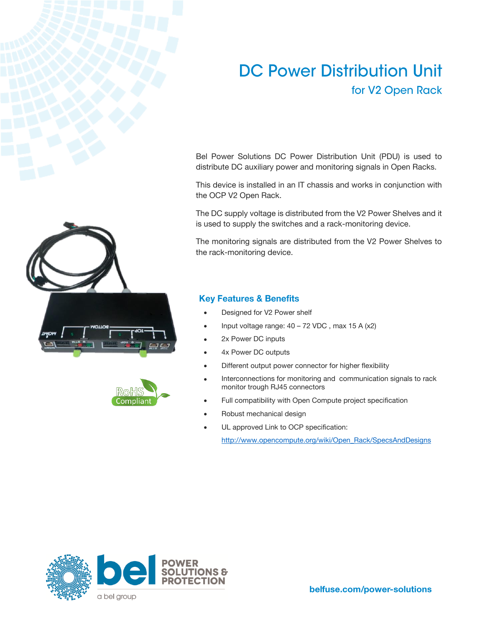# **DC Power Distribution Unit** for V2 Open Rack

Bel Power Solutions DC Power Distribution Unit (PDU) is used to distribute DC auxiliary power and monitoring signals in Open Racks.

This device is installed in an IT chassis and works in conjunction with the OCP V2 Open Rack.

The DC supply voltage is distributed from the V2 Power Shelves and it is used to supply the switches and a rack-monitoring device.

The monitoring signals are distributed from the V2 Power Shelves to the rack-monitoring device.

### **Key Features & Benefits**

- Designed for V2 Power shelf
- Input voltage range:  $40 72$  VDC, max 15 A (x2)
- 2x Power DC inputs
- 4x Power DC outputs
- Different output power connector for higher flexibility
- Interconnections for monitoring and communication signals to rack monitor trough RJ45 connectors
- Full compatibility with Open Compute project specification
- Robust mechanical design
- UL approved Link to OCP specification:

[http://www.opencompute.org/wiki/Open\\_Rack/SpecsAndDesigns](http://www.opencompute.org/wiki/Open_Rack/SpecsAndDesigns)





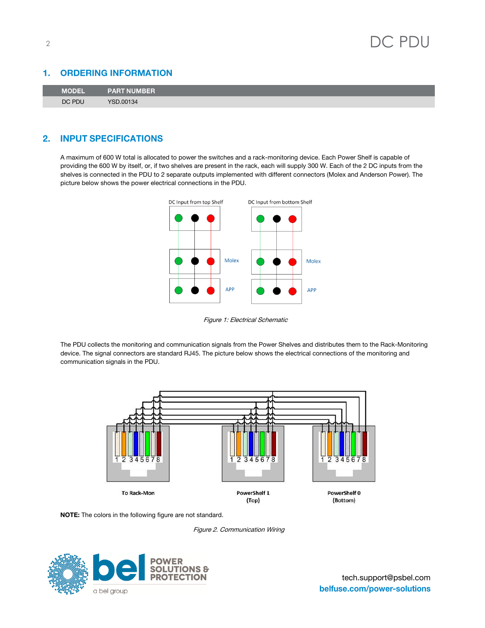

#### **ORDERING INFORMATION** 1.

| MODEL  | <b>PART NUMBER</b> |
|--------|--------------------|
| DC PDU | <b>YSD.00134</b>   |

#### **INPUT SPECIFICATIONS**  $2.$

A maximum of 600 W total is allocated to power the switches and a rack-monitoring device. Each Power Shelf is capable of providing the 600 W by itself, or, if two shelves are present in the rack, each will supply 300 W. Each of the 2 DC inputs from the shelves is connected in the PDU to 2 separate outputs implemented with different connectors (Molex and Anderson Power). The picture below shows the power electrical connections in the PDU.



Figure 1: Electrical Schematic

The PDU collects the monitoring and communication signals from the Power Shelves and distributes them to the Rack-Monitoring device. The signal connectors are standard RJ45. The picture below shows the electrical connections of the monitoring and communication signals in the PDU.



**NOTE:** The colors in the following figure are not standard.

Figure 2. Communication Wiring

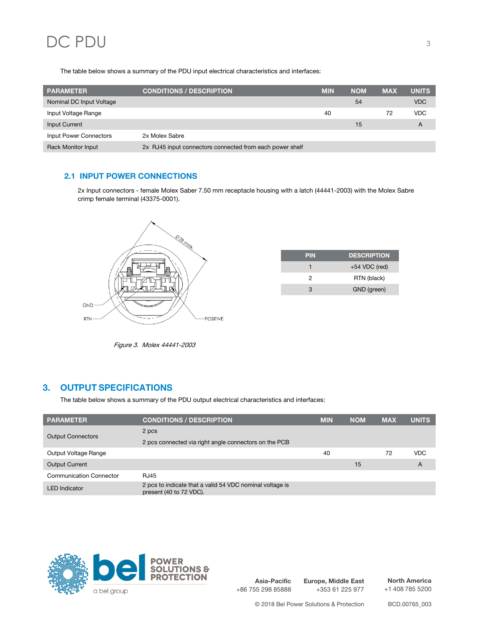# DC PDU 3

The table below shows a summary of the PDU input electrical characteristics and interfaces:

| <b>PARAMETER</b>              | <b>CONDITIONS / DESCRIPTION</b>                          | <b>MIN</b> | <b>NOM</b> | <b>MAX</b> | <b>UNITS</b> |
|-------------------------------|----------------------------------------------------------|------------|------------|------------|--------------|
| Nominal DC Input Voltage      |                                                          |            | 54         |            | <b>VDC</b>   |
| Input Voltage Range           |                                                          | 40         |            | 72         | <b>VDC</b>   |
| Input Current                 |                                                          |            | 15         |            | A            |
| <b>Input Power Connectors</b> | 2x Molex Sabre                                           |            |            |            |              |
| <b>Rack Monitor Input</b>     | 2x RJ45 input connectors connected from each power shelf |            |            |            |              |

### **2.1 INPUT POWER CONNECTIONS**

2x Input connectors - female Molex Saber 7.50 mm receptacle housing with a latch (44441-2003) with the Molex Sabre crimp female terminal (43375-0001).



| <b>PIN</b> | <b>DESCRIPTION</b> |
|------------|--------------------|
|            | $+54$ VDC (red)    |
| 2          | RTN (black)        |
| વ          | GND (green)        |

Figure 3. Molex 44441-2003

## 3. OUTPUT SPECIFICATIONS

The table below shows a summary of the PDU output electrical characteristics and interfaces:

| <b>PARAMETER</b>               | <b>CONDITIONS / DESCRIPTION</b>                                                     | <b>MIN</b> | <b>NOM</b> | <b>MAX</b> | <b>UNITS</b> |
|--------------------------------|-------------------------------------------------------------------------------------|------------|------------|------------|--------------|
| <b>Output Connectors</b>       | 2 pcs                                                                               |            |            |            |              |
|                                | 2 pcs connected via right angle connectors on the PCB                               |            |            |            |              |
| Output Voltage Range           |                                                                                     | 40         |            | 72         | <b>VDC</b>   |
| <b>Output Current</b>          |                                                                                     |            | 15         |            | A            |
| <b>Communication Connector</b> | <b>RJ45</b>                                                                         |            |            |            |              |
| <b>LED</b> Indicator           | 2 pcs to indicate that a valid 54 VDC nominal voltage is<br>present (40 to 72 VDC). |            |            |            |              |



**Asia-Pacific** +86 755 298 85888

**Europe, Middle East** +353 61 225 977

**North America** +1 408 785 5200

© 2018 Bel Power Solutions & Protection BCD.00765\_003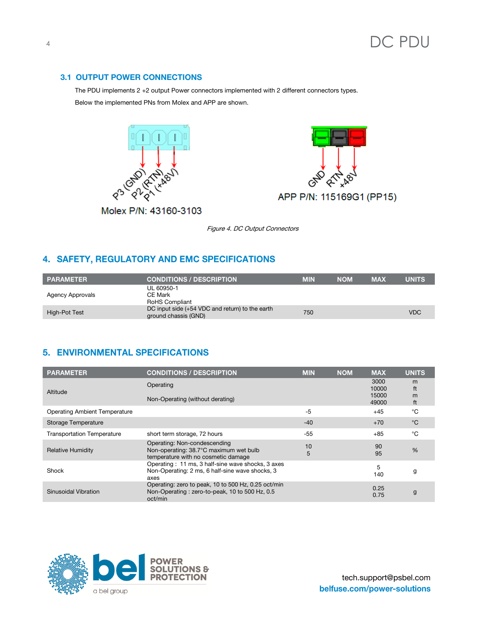#### **3.1 OUTPUT POWER CONNECTIONS**

The PDU implements 2 +2 output Power connectors implemented with 2 different connectors types. Below the implemented PNs from Molex and APP are shown.





Molex P/N: 43160-3103

Figure 4. DC Output Connectors

# 4. SAFETY, REGULATORY AND EMC SPECIFICATIONS

| <b>PARAMETER</b>        | <b>CONDITIONS / DESCRIPTION</b>                                           | <b>MIN</b> | <b>NOM</b> | <b>MAX</b> | <b>UNITS</b> |
|-------------------------|---------------------------------------------------------------------------|------------|------------|------------|--------------|
| <b>Agency Approvals</b> | UL 60950-1<br><b>CE Mark</b><br><b>RoHS Compliant</b>                     |            |            |            |              |
| High-Pot Test           | DC input side $(+54$ VDC and return) to the earth<br>ground chassis (GND) | 750        |            |            | <b>VDC</b>   |

## 5. ENVIRONMENTAL SPECIFICATIONS

| <b>PARAMETER</b>                     | <b>CONDITIONS / DESCRIPTION</b>                                                                                  | <b>MIN</b> | <b>NOM</b> | <b>MAX</b>     | <b>UNITS</b>  |
|--------------------------------------|------------------------------------------------------------------------------------------------------------------|------------|------------|----------------|---------------|
| Altitude                             | Operating                                                                                                        |            |            | 3000<br>10000  | m<br>ft       |
|                                      | Non-Operating (without derating)                                                                                 |            |            | 15000<br>49000 | m<br>ft       |
| <b>Operating Ambient Temperature</b> |                                                                                                                  | $-5$       |            | $+45$          | °C            |
| Storage Temperature                  |                                                                                                                  | $-40$      |            | $+70$          | °C            |
| <b>Transportation Temperature</b>    | short term storage, 72 hours                                                                                     | $-55$      |            | $+85$          | °೧            |
| <b>Relative Humidity</b>             | Operating: Non-condescending<br>Non-operating: 38.7°C maximum wet bulb<br>temperature with no cosmetic damage    | 10<br>5    |            | 90<br>95       | $\frac{0}{0}$ |
| Shock                                | Operating: 11 ms, 3 half-sine wave shocks, 3 axes<br>Non-Operating: 2 ms, 6 half-sine wave shocks, 3<br>axes     |            |            | 5<br>140       | g             |
| Sinusoidal Vibration                 | Operating: zero to peak, 10 to 500 Hz, 0.25 oct/min<br>Non-Operating: zero-to-peak, 10 to 500 Hz, 0.5<br>oct/min |            |            | 0.25<br>0.75   | g             |

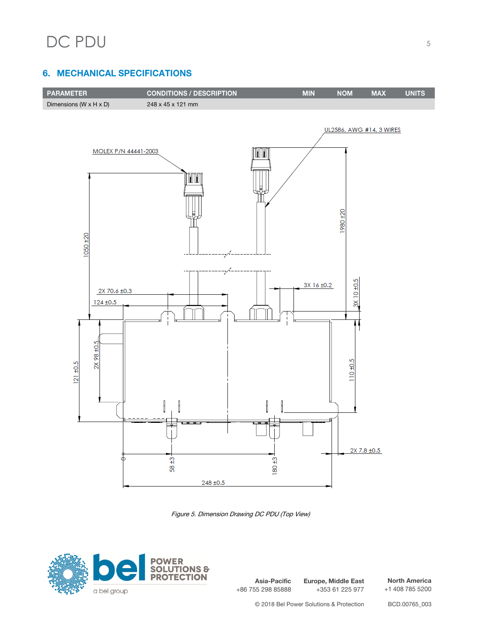# **6. MECHANICAL SPECIFICATIONS**



Figure 5. Dimension Drawing DC PDU (Top View)



**Asia-Pacific** +86 755 298 85888 **Europe, Middle East** +353 61 225 977

**North America** +1 408 785 5200